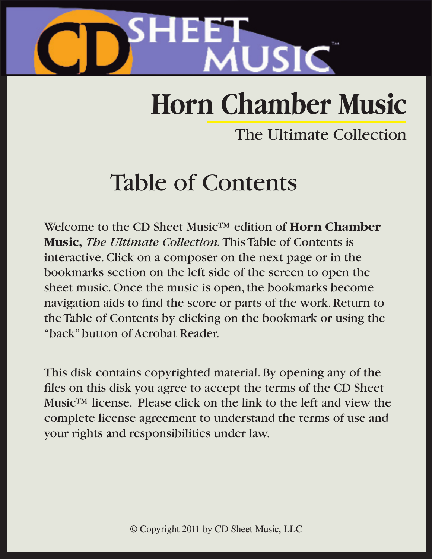

# **Horn Chamber Music**

## The Ultimate Collection

## Table of Contents

Welcome to the CD Sheet Music™ edition of **Horn Chamber Music,** *The Ultimate Collection.* This Table of Contents is interactive. Click on a composer on the next page or in the bookmarks section on the left side of the screen to open the sheet music. Once the music is open, the bookmarks become navigation aids to find the score or parts of the work. Return to the Table of Contents by clicking on the bookmark or using the "back" button of Acrobat Reader.

This disk contains copyrighted material. By opening any of the files on this disk you agree to accept the terms of the CD Sheet Music™ license. Please click on the link to the left and view the complete license agreement to understand the terms of use and your rights and responsibilities under law.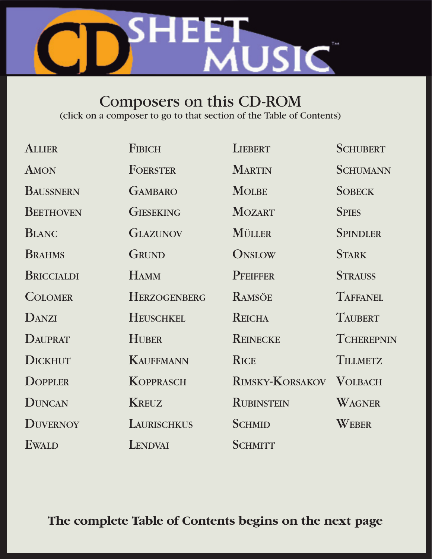

### Composers on this CD-ROM

(click on a composer to go to that section of the Table of Contents)

| <b>ALLIER</b>     | <b>FIBICH</b>       | <b>LIEBERT</b>          | <b>SCHUBERT</b>   |
|-------------------|---------------------|-------------------------|-------------------|
| AMON              | FOERSTER            | <b>MARTIN</b>           | <b>SCHUMANN</b>   |
| <b>BAUSSNERN</b>  | <b>GAMBARO</b>      | <b>MOLBE</b>            | <b>SOBECK</b>     |
| <b>BEETHOVEN</b>  | <b>GIESEKING</b>    | <b>MOZART</b>           | <b>SPIES</b>      |
| <b>BLANC</b>      | <b>GLAZUNOV</b>     | MÜLLER                  | <b>SPINDLER</b>   |
| <b>BRAHMS</b>     | GRUND               | ONSLOW                  | <b>STARK</b>      |
| <b>BRICCIALDI</b> | <b>HAMM</b>         | <b>PFEIFFER</b>         | <b>STRAUSS</b>    |
| <b>COLOMER</b>    | <b>HERZOGENBERG</b> | <b>RAMSÖE</b>           | <b>TAFFANEL</b>   |
| DANZI             | <b>HEUSCHKEL</b>    | <b>REICHA</b>           | <b>TAUBERT</b>    |
| <b>DAUPRAT</b>    | <b>HUBER</b>        | <b>REINECKE</b>         | <b>TCHEREPNIN</b> |
| <b>DICKHUT</b>    | <b>KAUFFMANN</b>    | <b>RICE</b>             | <b>TILLMETZ</b>   |
| <b>DOPPLER</b>    | <b>KOPPRASCH</b>    | RIMSKY-KORSAKOV VOLBACH |                   |
| <b>DUNCAN</b>     | <b>KREUZ</b>        | <b>RUBINSTEIN</b>       | WAGNER            |
| <b>DUVERNOY</b>   | LAURISCHKUS         | <b>SCHMID</b>           | WEBER             |
| <b>EWALD</b>      | LENDVAI             | <b>SCHMITT</b>          |                   |

**The complete Table of Contents begins on the next page**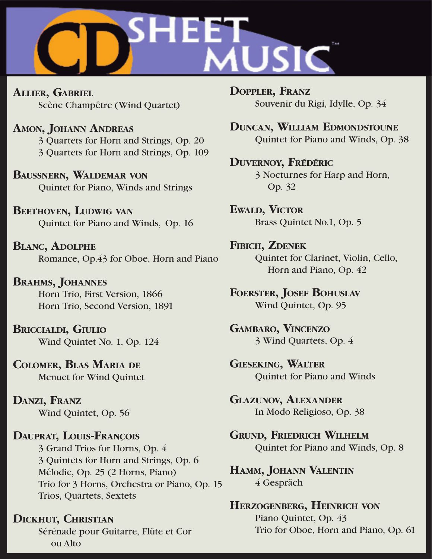<span id="page-2-0"></span>

**ALLIER, GABRIEL** Scène Champêtre (Wind Quartet)

**AMON, JOHANN ANDREAS** 3 Quartets for Horn and Strings, Op. 20 3 Quartets for Horn and Strings, Op. 109

**BAUSSNERN, WALDEMAR VON** Quintet for Piano, Winds and Strings

**BEETHOVEN, LUDWIG VAN** Quintet for Piano and Winds, Op. 16

**BLANC, ADOLPHE** Romance, Op.43 for Oboe, Horn and Piano

**BRAHMS, JOHANNES** Horn Trio, First Version, 1866 Horn Trio, Second Version, 1891

**BRICCIALDI, GIULIO** Wind Quintet No. 1, Op. 124

**COLOMER, BLAS MARIA DE** Menuet for Wind Quintet

**DANZI, FRANZ** Wind Quintet, Op. 56

**DAUPRAT, LOUIS-FRANÇOIS** 3 Grand Trios for Horns, Op. 4 3 Quintets for Horn and Strings, Op. 6 Mélodie, Op. 25 (2 Horns, Piano) Trio for 3 Horns, Orchestra or Piano, Op. 15 Trios, Quartets, Sextets

#### **DICKHUT, CHRISTIAN**

 Sérénade pour Guitarre, Flûte et Cor ou Alto

**DOPPLER, FRANZ** Souvenir du Rigi, Idylle, Op. 34

**DUNCAN, WILLIAM EDMONDSTOUNE** Quintet for Piano and Winds, Op. 38

**DUVERNOY, FRÉDÉRIC** 3 Nocturnes for Harp and Horn, Op. 32

**EWALD, VICTOR** Brass Quintet No.1, Op. 5

**FIBICH, ZDENEK** Quintet for Clarinet, Violin, Cello, Horn and Piano, Op. 42

**FOERSTER, JOSEF BOHUSLAV** Wind Quintet, Op. 95

**GAMBARO, VINCENZO** 3 Wind Quartets, Op. 4

**GIESEKING, WALTER** Quintet for Piano and Winds

**GLAZUNOV, ALEXANDER** In Modo Religioso, Op. 38

**GRUND, FRIEDRICH WILHELM** Quintet for Piano and Winds, Op. 8

**HAMM, JOHANN VALENTIN** 4 Gespräch

**HERZOGENBERG, HEINRICH VON** Piano Quintet, Op. 43 Trio for Oboe, Horn and Piano, Op. 61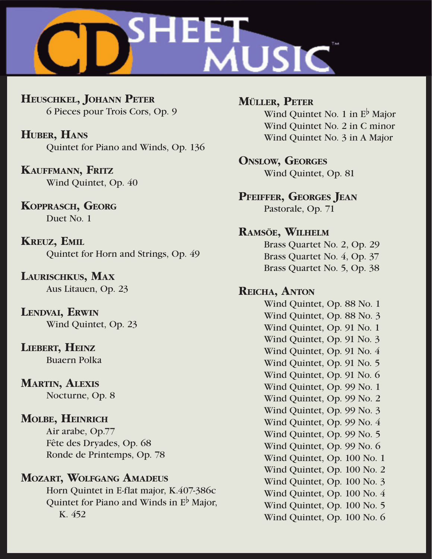<span id="page-3-0"></span>

**HEUSCHKEL, JOHANN PETER** 6 Pieces pour Trois Cors, Op. 9

**HUBER, HANS** Quintet for Piano and Winds, Op. 136

**KAUFFMANN, FRITZ** Wind Quintet, Op. 40

**KOPPRASCH, GEORG** Duet No. 1

**KREUZ, EMIL** Quintet for Horn and Strings, Op. 49

**LAURISCHKUS, MAX** Aus Litauen, Op. 23

**LENDVAI, ERWIN** Wind Quintet, Op. 23

**LIEBERT, HEINZ** Buaern Polka

**MARTIN, ALEXIS** Nocturne, Op. 8

#### **MOLBE, HEINRICH**

 Air arabe, Op.77 Fête des Dryades, Op. 68 Ronde de Printemps, Op. 78

#### **MOZART, WOLFGANG AMADEUS**

 Horn Quintet in E-flat major, K.407-386c Quintet for Piano and Winds in  $E^{\flat}$  Major, K. 452

**MÜLLER, PETER** Wind Quintet No. 1 in  $E^{\flat}$  Major Wind Quintet No. 2 in C minor Wind Quintet No. 3 in A Major

**ONSLOW, GEORGES**

Wind Quintet, Op. 81

#### **PFEIFFER, GEORGES JEAN**

Pastorale, Op. 71

#### **RAMSÖE, WILHELM**

 Brass Quartet No. 2, Op. 29 Brass Quartet No. 4, Op. 37 Brass Quartet No. 5, Op. 38

#### **REICHA, ANTON**

 Wind Quintet, Op. 88 No. 1 Wind Quintet, Op. 88 No. 3 Wind Quintet, Op. 91 No. 1 Wind Quintet, Op. 91 No. 3 Wind Quintet, Op. 91 No. 4 Wind Quintet, Op. 91 No. 5 Wind Quintet, Op. 91 No. 6 Wind Quintet, Op. 99 No. 1 Wind Quintet, Op. 99 No. 2 Wind Quintet, Op. 99 No. 3 Wind Quintet, Op. 99 No. 4 Wind Quintet, Op. 99 No. 5 Wind Quintet, Op. 99 No. 6 Wind Quintet, Op. 100 No. 1 Wind Quintet, Op. 100 No. 2 Wind Quintet, Op. 100 No. 3 Wind Quintet, Op. 100 No. 4 Wind Quintet, Op. 100 No. 5 Wind Quintet, Op. 100 No. 6